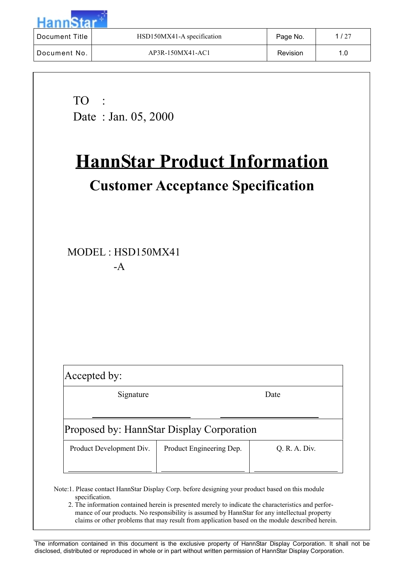| <b>Document Title</b> | HSD150MX41-A specification | Page No. | 1/27 |
|-----------------------|----------------------------|----------|------|
| Document No.          | AP3R-150MX41-AC1           | Revision | 1.0  |

TO : Date : Jan. 05, 2000

# **HannStar Product Information Customer Acceptance Specification**

MODEL : HSD150MX41 -A

| Accepted by:             |                                           |               |  |  |  |  |  |
|--------------------------|-------------------------------------------|---------------|--|--|--|--|--|
| Signature<br>Date        |                                           |               |  |  |  |  |  |
|                          |                                           |               |  |  |  |  |  |
|                          | Proposed by: HannStar Display Corporation |               |  |  |  |  |  |
| Product Development Div. | Product Engineering Dep.                  | Q. R. A. Div. |  |  |  |  |  |
|                          |                                           |               |  |  |  |  |  |

- Note:1. Please contact HannStar Display Corp. before designing your product based on this module specification.
	- 2. The information contained herein is presented merely to indicate the characteristics and performance of our products. No responsibility is assumed by HannStar for any intellectual property claims or other problems that may result from application based on the module described herein.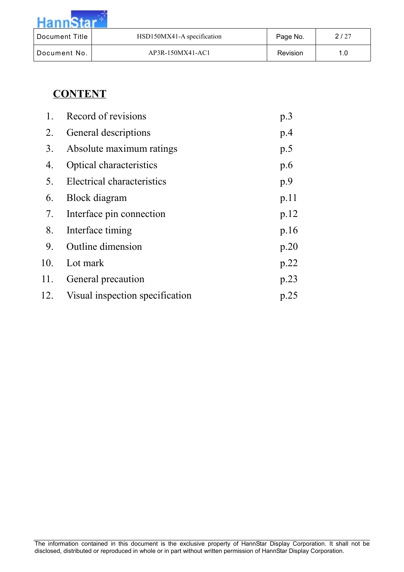| $-$ uann $-$   |                            |          |      |
|----------------|----------------------------|----------|------|
| Document Title | HSD150MX41-A specification | Page No. | 2/27 |
| Document No.   | AP3R-150MX41-AC1           | Revision | 1.0  |

# **CONTENT**

| 1.             | Record of revisions             | p.3  |
|----------------|---------------------------------|------|
| 2.             | General descriptions            | p.4  |
| 3 <sub>1</sub> | Absolute maximum ratings        | p.5  |
| 4.             | Optical characteristics         | p.6  |
| 5.             | Electrical characteristics      | p.9  |
| 6.             | <b>Block</b> diagram            | p.11 |
| 7.             | Interface pin connection        | p.12 |
| 8.             | Interface timing                | p.16 |
| 9.             | <b>Outline</b> dimension        | p.20 |
| 10.            | Lot mark                        | p.22 |
| 11.            | General precaution              | p.23 |
| 12.            | Visual inspection specification | p.25 |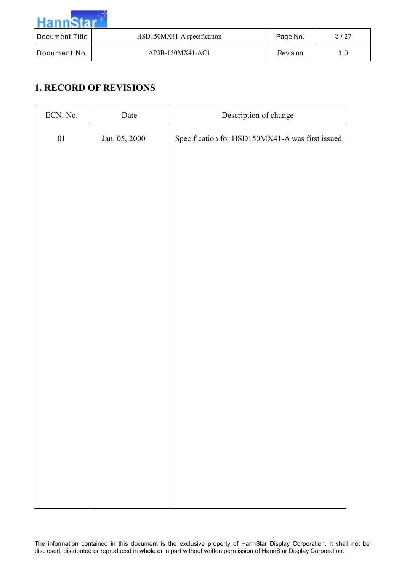| Document Title | HSD150MX41-A specification | Page No. | 3/27 |
|----------------|----------------------------|----------|------|
| Document No.   | AP3R-150MX41-AC1           | Revision | 1.0  |

# **1. RECORD OF REVISIONS**

| ECN. No. | Date          | Description of change                            |  |  |
|----------|---------------|--------------------------------------------------|--|--|
| $01\,$   | Jan. 05, 2000 | Specification for HSD150MX41-A was first issued. |  |  |
|          |               |                                                  |  |  |
|          |               |                                                  |  |  |
|          |               |                                                  |  |  |
|          |               |                                                  |  |  |
|          |               |                                                  |  |  |
|          |               |                                                  |  |  |
|          |               |                                                  |  |  |
|          |               |                                                  |  |  |
|          |               |                                                  |  |  |
|          |               |                                                  |  |  |
|          |               |                                                  |  |  |
|          |               |                                                  |  |  |
|          |               |                                                  |  |  |
|          |               |                                                  |  |  |
|          |               |                                                  |  |  |
|          |               |                                                  |  |  |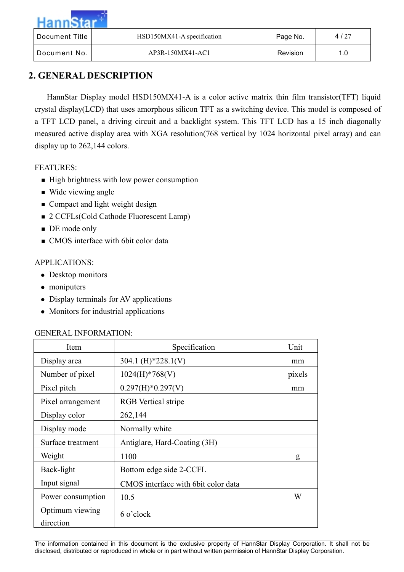| Document Title | HSD150MX41-A specification | Page No.        | 4/27 |
|----------------|----------------------------|-----------------|------|
| l Document No. | AP3R-150MX41-AC1           | <b>Revision</b> | 1.0  |

# **2. GENERAL DESCRIPTION**

HannStar Display model HSD150MX41-A is a color active matrix thin film transistor(TFT) liquid crystal display(LCD) that uses amorphous silicon TFT as a switching device. This model is composed of a TFT LCD panel, a driving circuit and a backlight system. This TFT LCD has a 15 inch diagonally measured active display area with XGA resolution(768 vertical by 1024 horizontal pixel array) and can display up to 262,144 colors.

#### FEATURES:

- **Example 1** High brightness with low power consumption
- Wide viewing angle
- Compact and light weight design
- 2 CCFLs(Cold Cathode Fluorescent Lamp)
- **DE** mode only
- CMOS interface with 6bit color data

#### APPLICATIONS:

- Desktop monitors
- moniputers
- Display terminals for AV applications
- Monitors for industrial applications

#### GENERAL INFORMATION:

| Item                         | Specification                        | Unit   |
|------------------------------|--------------------------------------|--------|
| Display area                 | 304.1 (H)*228.1(V)                   | mm     |
| Number of pixel              | $1024(H)*768(V)$                     | pixels |
| Pixel pitch                  | $0.297(H)*0.297(V)$                  | mm     |
| Pixel arrangement            | <b>RGB</b> Vertical stripe           |        |
| Display color                | 262,144                              |        |
| Display mode                 | Normally white                       |        |
| Surface treatment            | Antiglare, Hard-Coating (3H)         |        |
| Weight                       | 1100                                 | g      |
| Back-light                   | Bottom edge side 2-CCFL              |        |
| Input signal                 | CMOS interface with 6 bit color data |        |
| Power consumption            | 10.5                                 | W      |
| Optimum viewing<br>direction | $6$ o'clock                          |        |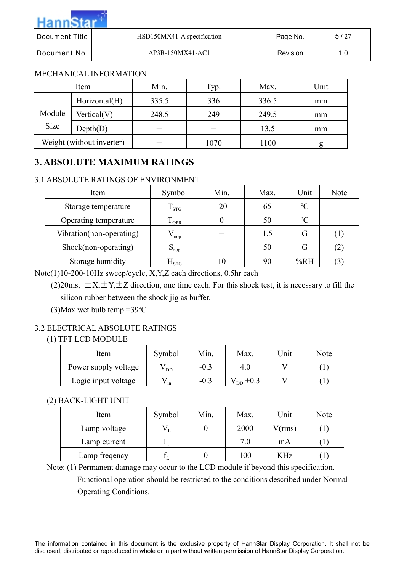| Hanns          |                            |          |      |
|----------------|----------------------------|----------|------|
| Document Title | HSD150MX41-A specification | Page No. | 5/27 |
| Document No.   | AP3R-150MX41-AC1           | Revision | 1.0  |

#### MECHANICAL INFORMATION

and the first

|        | Item                      | Min.  | Typ. | Max.  | Unit |
|--------|---------------------------|-------|------|-------|------|
|        | Horizontal(H)             | 335.5 | 336  | 336.5 | mm   |
| Module | Vertical(V)               | 248.5 | 249  | 249.5 | mm   |
| Size   | Depth(D)                  |       |      | 13.5  | mm   |
|        | Weight (without inverter) |       | 1070 | 1100  | g    |

# **3. ABSOLUTE MAXIMUM RATINGS**

#### 3.1 ABSOLUTE RATINGS OF ENVIRONMENT

| Item                     | Symbol           | Min.  | Max. | Unit        | Note              |
|--------------------------|------------------|-------|------|-------------|-------------------|
| Storage temperature      | $T_{\rm STG}$    | $-20$ | 65   | $\rm ^{o}C$ |                   |
| Operating temperature    | <b>OPR</b>       | 0     | 50   | $\rm ^{o}C$ |                   |
| Vibration(non-operating) | nop              |       | 1.5  | G           | $\Box$            |
| Shock(non-operating)     | $S_{\text{nop}}$ |       | 50   | G           | $\left( 2\right)$ |
| Storage humidity         | $\rm H_{STG}$    | 10    | 90   | %RH         | (3)               |

Note(1)10-200-10Hz sweep/cycle, X,Y,Z each directions, 0.5hr each

(2)20ms,  $\pm X, \pm Y, \pm Z$  direction, one time each. For this shock test, it is necessary to fill the silicon rubber between the shock jig as buffer.

 $(3)$ Max wet bulb temp =39 °C

#### 3.2 ELECTRICAL ABSOLUTE RATINGS

#### (1) TFT LCD MODULE

| Item                 | Symbol | Min.   | Max.           | Jnit | Note |
|----------------------|--------|--------|----------------|------|------|
| Power supply voltage | DD     | $-0.3$ | 4.0            |      |      |
| Logic input voltage  | in     | $-0.3$ | D <sub>D</sub> |      |      |

#### (2) BACK-LIGHT UNIT

| Item          | Symbol | Min. | Max. | Unit   | Note |
|---------------|--------|------|------|--------|------|
| Lamp voltage  |        |      | 2000 | V(rms) |      |
| Lamp current  |        |      | 7.0  | mA     |      |
| Lamp freqency |        |      | 100  | KHz    |      |

Note: (1) Permanent damage may occur to the LCD module if beyond this specification.

Functional operation should be restricted to the conditions described under Normal Operating Conditions.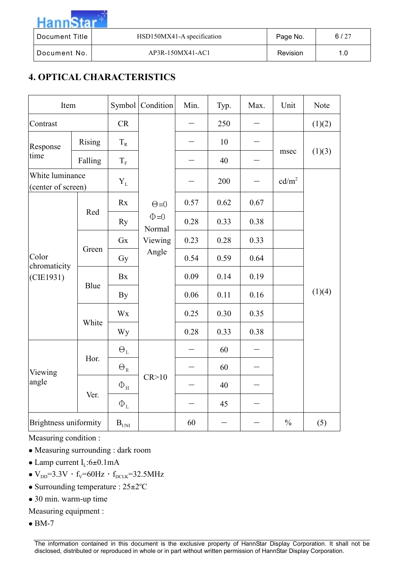$annS$ 

Document Title | HSD150MX41-A specification | Page No. | 6/27

Document No. | AP3R-150MX41-AC1 | Revision | 1.0

# **4. OPTICAL CHARACTERISTICS**

| Item                                  |               | Symbol                        | Condition            | Min. | Typ. | Max. | Unit              | Note   |
|---------------------------------------|---------------|-------------------------------|----------------------|------|------|------|-------------------|--------|
| Contrast                              |               | <b>CR</b>                     |                      |      | 250  |      |                   | (1)(2) |
| Response                              | <b>Rising</b> | $T_R$                         |                      |      | 10   |      |                   |        |
| time                                  | Falling       | $T_{\scriptscriptstyle\rm F}$ |                      |      | 40   |      | msec              | (1)(3) |
| White luminance<br>(center of screen) |               | $Y_L$                         |                      |      | 200  |      | cd/m <sup>2</sup> |        |
|                                       |               | Rx                            | $\Theta = 0$         | 0.57 | 0.62 | 0.67 |                   |        |
|                                       | Red           | Ry                            | $\Phi = 0$<br>Normal | 0.28 | 0.33 | 0.38 |                   |        |
|                                       | Green         | Gx                            | Viewing              | 0.23 | 0.28 | 0.33 |                   |        |
| Color<br>chromaticity                 |               | Gy                            | Angle                | 0.54 | 0.59 | 0.64 |                   |        |
| (CIE1931)                             | Blue          | Bx                            |                      | 0.09 | 0.14 | 0.19 |                   |        |
|                                       |               | By                            |                      | 0.06 | 0.11 | 0.16 |                   | (1)(4) |
|                                       |               | Wx                            |                      | 0.25 | 0.30 | 0.35 |                   |        |
|                                       | White         | Wy                            |                      | 0.28 | 0.33 | 0.38 |                   |        |
|                                       |               | $\Theta_{\rm L}$              |                      |      | 60   |      |                   |        |
| Viewing<br>angle                      | Hor.          | $\Theta_{\textrm{\tiny R}}$   |                      |      | 60   |      |                   |        |
|                                       |               | $\Phi_{\rm H}$                | CR > 10              |      | 40   |      |                   |        |
|                                       | Ver.          | $\Phi_{\text{L}}$             |                      |      | 45   |      |                   |        |
| Brightness uniformity                 |               | $\mathbf{B}_{\text{UNI}}$     |                      | 60   |      |      | $\frac{0}{0}$     | (5)    |

Measuring condition :

- Measuring surrounding : dark room
- Lamp current  $I_L$ :6±0.1mA
- $V_{DD}$ =3.3V,  $f_V$ =60Hz,  $f_{DCLK}$ =32.5MHz
- Surrounding temperature :  $25 \pm 2^{\circ}$ C
- 30 min. warm-up time
- Measuring equipment :
- $\bullet$  BM-7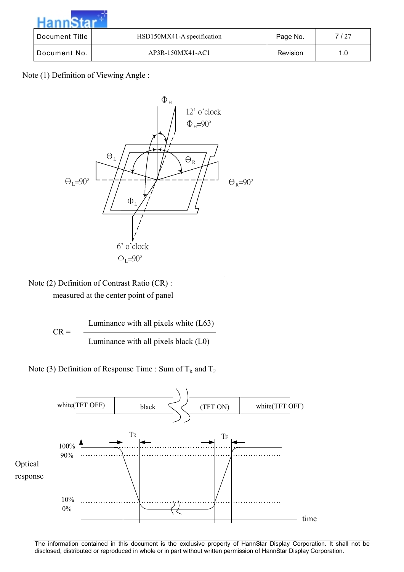| Hanne          |                            |          |      |
|----------------|----------------------------|----------|------|
| Document Title | HSD150MX41-A specification | Page No. | 7/27 |
| Document No.   | AP3R-150MX41-AC1           | Revision | 1.0  |

Note (1) Definition of Viewing Angle :



Note (2) Definition of Contrast Ratio (CR) : measured at the center point of panel

> $CR =$  $\overline{\phantom{a}}$ Luminance with all pixels white (L63) Luminance with all pixels black (L0)

Note (3) Definition of Response Time : Sum of  $T_R$  and  $T_F$ 

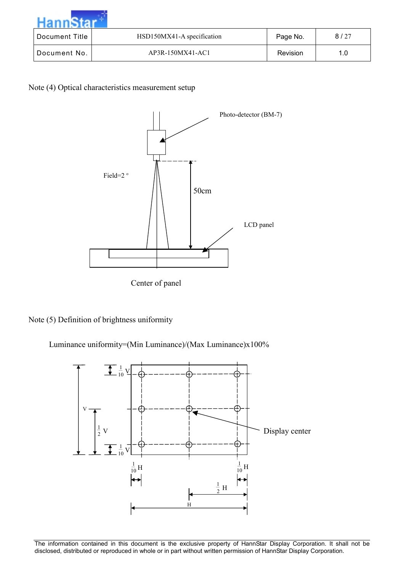| Document Title | HSD150MX41-A specification | Page No. | 8/27 |
|----------------|----------------------------|----------|------|
| Document No.   | AP3R-150MX41-AC1           | Revision | 1.0  |

Note (4) Optical characteristics measurement setup



Center of panel

Note (5) Definition of brightness uniformity

Luminance uniformity=(Min Luminance)/(Max Luminance)x100%

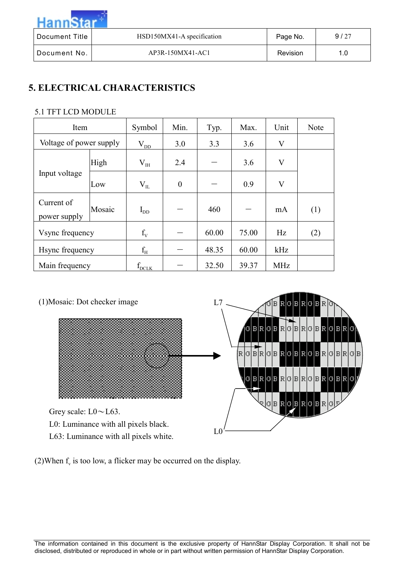| Hanne-         |                            |                 |      |
|----------------|----------------------------|-----------------|------|
| Document Title | HSD150MX41-A specification | Page No.        | 9/27 |
| Document No.   | AP3R-150MX41-AC1           | <b>Revision</b> | 1.0  |

# **5. ELECTRICAL CHARACTERISTICS**

┰

#### 5.1 TFT LCD MODULE

| Item                       |        | Symbol       | Min.             | Typ.  | Max.  | Unit       | Note |
|----------------------------|--------|--------------|------------------|-------|-------|------------|------|
| Voltage of power supply    |        | $\rm V_{DD}$ | 3.0              | 3.3   | 3.6   | V          |      |
|                            | High   | $V_{IH}$     | 2.4              |       | 3.6   | V          |      |
| Input voltage              | Low    | $V_{IL}$     | $\boldsymbol{0}$ |       | 0.9   | V          |      |
| Current of<br>power supply | Mosaic | $I_{DD}$     |                  | 460   |       | mA         | (1)  |
| Vsync frequency            |        | $f_{V}$      |                  | 60.00 | 75.00 | Hz         | (2)  |
| Hsync frequency            |        | $f_{\rm H}$  |                  | 48.35 | 60.00 | kHz        |      |
| Main frequency             |        | $f_{DCLK}$   |                  | 32.50 | 39.37 | <b>MHz</b> |      |



(2)When  $f_v$  is too low, a flicker may be occurred on the display.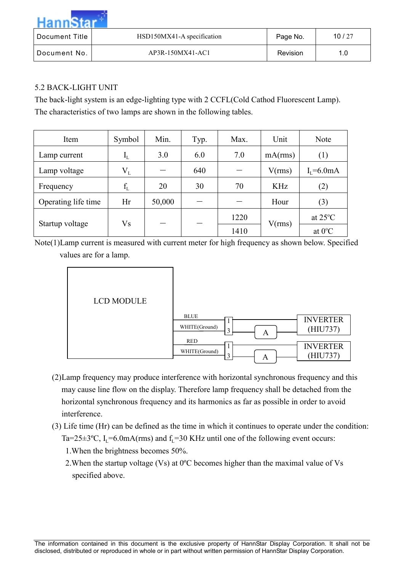| Hanne          |                            |          |       |
|----------------|----------------------------|----------|-------|
| Document Title | HSD150MX41-A specification | Page No. | 10/27 |
| Document No.   | AP3R-150MX41-AC1           | Revision | 1.0   |

#### 5.2 BACK-LIGHT UNIT

The back-light system is an edge-lighting type with 2 CCFL(Cold Cathod Fluorescent Lamp). The characteristics of two lamps are shown in the following tables.

| Item                | Symbol                    | Min.   | Typ. | Max. | Unit       | Note              |
|---------------------|---------------------------|--------|------|------|------------|-------------------|
| Lamp current        | $\mathbf{I}_{\mathrm{L}}$ | 3.0    | 6.0  | 7.0  | mA(rms)    | (1)               |
| Lamp voltage        | $\rm V_L$                 |        | 640  |      | V(rms)     | $Ir=6.0mA$        |
| Frequency           | $f_L$                     | 20     | 30   | 70   | <b>KHz</b> | (2)               |
| Operating life time | Hr                        | 50,000 |      |      | Hour       | (3)               |
|                     | Vs                        |        |      | 1220 |            | at $25^{\circ}$ C |
| Startup voltage     |                           |        |      | 1410 | V(rms)     | at $0^{\circ}$ C  |

Note(1)Lamp current is measured with current meter for high frequency as shown below. Specified values are for a lamp.



- (2)Lamp frequency may produce interference with horizontal synchronous frequency and this may cause line flow on the display. Therefore lamp frequency shall be detached from the horizontal synchronous frequency and its harmonics as far as possible in order to avoid interference.
- (3) Life time (Hr) can be defined as the time in which it continues to operate under the condition: Ta=25±3°C,  $I_1$ =6.0mA(rms) and  $f_1$ =30 KHz until one of the following event occurs:
	- 1.When the brightness becomes 50%.
	- 2.When the startup voltage (Vs) at 0ºC becomes higher than the maximal value of Vs specified above.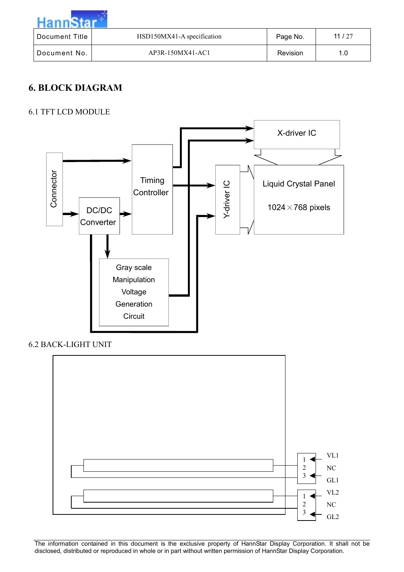| Hann           |                            |          |          |
|----------------|----------------------------|----------|----------|
| Document Title | HSD150MX41-A specification | Page No. | 11 $/27$ |
| Document No.   | AP3R-150MX41-AC1           | Revision | 1.0      |

# **6. BLOCK DIAGRAM**

### 6.1 TFT LCD MODULE



6.2 BACK-LIGHT UNIT

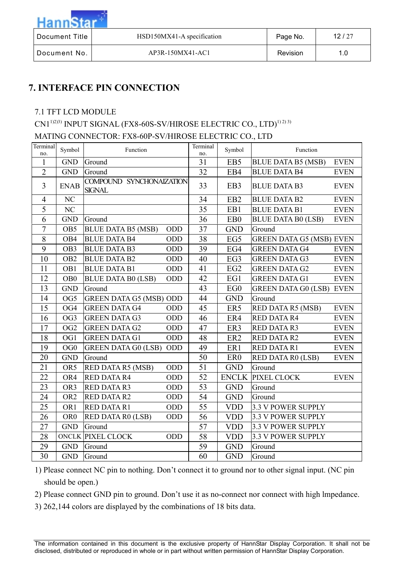

| Document Title | HSD150MX41-A specification | Page No. | 12/27 |
|----------------|----------------------------|----------|-------|
| Document No.   | AP3R-150MX41-AC1           | Revision |       |

# **7. INTERFACE PIN CONNECTION**

### 7.1 TFT LCD MODULE

CN1<sup>1)2)3)</sup> INPUT SIGNAL (FX8-60S-SV/HIROSE ELECTRIC CO., LTD)<sup>1)2)3)</sup>

# MATING CONNECTOR: FX8-60P-SV/HIROSE ELECTRIC CO., LTD

| Terminal<br>no. | Symbol          | Function                                  |            | Terminal<br>no. | Symbol           | Function                        |             |
|-----------------|-----------------|-------------------------------------------|------------|-----------------|------------------|---------------------------------|-------------|
| $\mathbf{1}$    | <b>GND</b>      | Ground                                    |            | 31              | EB <sub>5</sub>  | <b>BLUE DATA B5 (MSB)</b>       | <b>EVEN</b> |
| $\overline{2}$  | <b>GND</b>      | Ground                                    |            | 32              | EB4              | <b>BLUE DATA B4</b>             | <b>EVEN</b> |
| $\overline{3}$  | <b>ENAB</b>     | COMPOUND SYNCHONAIZATION<br><b>SIGNAL</b> |            | 33              | EB <sub>3</sub>  | <b>BLUE DATA B3</b>             | <b>EVEN</b> |
| $\overline{4}$  | NC              |                                           |            | 34              | EB <sub>2</sub>  | <b>BLUE DATA B2</b>             | <b>EVEN</b> |
| 5               | NC              |                                           |            | 35              | EB1              | <b>BLUE DATA B1</b>             | <b>EVEN</b> |
| 6               | <b>GND</b>      | Ground                                    |            | 36              | E <sub>B</sub> 0 | <b>BLUE DATA B0 (LSB)</b>       | <b>EVEN</b> |
| $\overline{7}$  | OB <sub>5</sub> | <b>BLUE DATA B5 (MSB)</b>                 | <b>ODD</b> | 37              | <b>GND</b>       | Ground                          |             |
| 8               | OB <sub>4</sub> | <b>BLUE DATA B4</b>                       | ODD        | 38              | EG5              | <b>GREEN DATA G5 (MSB) EVEN</b> |             |
| 9               | OB <sub>3</sub> | <b>BLUE DATA B3</b>                       | ODD        | 39              | EG4              | <b>GREEN DATA G4</b>            | <b>EVEN</b> |
| 10              | OB <sub>2</sub> | <b>BLUE DATA B2</b>                       | ODD        | 40              | EG <sub>3</sub>  | <b>GREEN DATA G3</b>            | <b>EVEN</b> |
| 11              | OB1             | <b>BLUE DATA B1</b>                       | ODD        | 41              | EG2              | <b>GREEN DATA G2</b>            | <b>EVEN</b> |
| 12              | OB <sub>0</sub> | <b>BLUE DATA B0 (LSB)</b>                 | ODD        | 42              | EG1              | <b>GREEN DATA G1</b>            | <b>EVEN</b> |
| 13              | <b>GND</b>      | Ground                                    |            | 43              | EG <sub>0</sub>  | <b>GREEN DATA G0 (LSB) EVEN</b> |             |
| 14              | OG5             | <b>GREEN DATA G5 (MSB) ODD</b>            |            | 44              | <b>GND</b>       | Ground                          |             |
| 15              | OG4             | <b>GREEN DATA G4</b>                      | ODD        | 45              | ER5              | RED DATA R5 (MSB)               | <b>EVEN</b> |
| 16              | OG <sub>3</sub> | <b>GREEN DATA G3</b>                      | ODD        | 46              | ER4              | <b>RED DATA R4</b>              | <b>EVEN</b> |
| 17              | OG <sub>2</sub> | <b>GREEN DATA G2</b>                      | <b>ODD</b> | 47              | ER3              | <b>RED DATA R3</b>              | <b>EVEN</b> |
| 18              | OG1             | <b>GREEN DATA G1</b>                      | ODD        | 48              | ER <sub>2</sub>  | <b>RED DATA R2</b>              | <b>EVEN</b> |
| 19              | OG0             | <b>GREEN DATA G0 (LSB)</b>                | <b>ODD</b> | 49              | ER1              | <b>RED DATA R1</b>              | <b>EVEN</b> |
| 20              | <b>GND</b>      | Ground                                    |            | 50              | ER <sub>0</sub>  | RED DATA R0 (LSB)               | <b>EVEN</b> |
| 21              | OR5             | RED DATA R5 (MSB)                         | ODD        | 51              | <b>GND</b>       | Ground                          |             |
| 22              | OR4             | <b>RED DATA R4</b>                        | ODD        | 52              | <b>ENCLK</b>     | PIXEL CLOCK                     | <b>EVEN</b> |
| 23              | OR3             | <b>RED DATA R3</b>                        | ODD        | 53              | <b>GND</b>       | Ground                          |             |
| 24              | OR <sub>2</sub> | <b>RED DATA R2</b>                        | <b>ODD</b> | 54              | <b>GND</b>       | Ground                          |             |
| 25              | OR1             | <b>RED DATA R1</b>                        | ODD        | 55              | <b>VDD</b>       | 3.3 V POWER SUPPLY              |             |
| 26              | OR <sub>0</sub> | RED DATA R0 (LSB)                         | ODD        | 56              | <b>VDD</b>       | <b>3.3 V POWER SUPPLY</b>       |             |
| 27              | <b>GND</b>      | Ground                                    |            | 57              | <b>VDD</b>       | <b>3.3 V POWER SUPPLY</b>       |             |
| 28              |                 | <b>ONCLK PIXEL CLOCK</b>                  | <b>ODD</b> | 58              | <b>VDD</b>       | <b>3.3 V POWER SUPPLY</b>       |             |
| 29              | <b>GND</b>      | Ground                                    |            | 59              | <b>GND</b>       | Ground                          |             |
| 30              | <b>GND</b>      | Ground                                    |            | 60              | <b>GND</b>       | Ground                          |             |

1) Please connect NC pin to nothing. Don't connect it to ground nor to other signal input. (NC pin should be open.)

2) Please connect GND pin to ground. Don't use it as no-connect nor connect with high lmpedance.

3) 262,144 colors are displayed by the combinations of 18 bits data.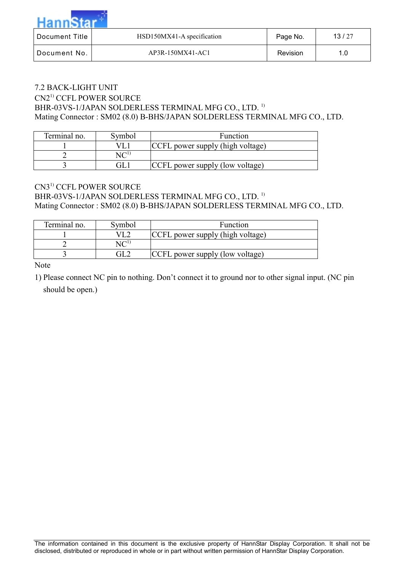| Document Title | HSD150MX41-A specification | Page No.        | 13/27 |  |  |  |  |
|----------------|----------------------------|-----------------|-------|--|--|--|--|
| Document No.   | AP3R-150MX41-AC1           | <b>Revision</b> | 1.0   |  |  |  |  |

#### 7.2 BACK-LIGHT UNIT CN21) CCFL POWER SOURCE BHR-03VS-1/JAPAN SOLDERLESS TERMINAL MFG CO., LTD.<sup>1)</sup> Mating Connector : SM02 (8.0) B-BHS/JAPAN SOLDERLESS TERMINAL MFG CO., LTD.

| Terminal no.<br>Symbol |     | <b>Function</b>                  |  |  |  |
|------------------------|-----|----------------------------------|--|--|--|
|                        |     | CCFL power supply (high voltage) |  |  |  |
|                        |     |                                  |  |  |  |
|                        | GL. | (CCFL power supply (low voltage) |  |  |  |

#### CN31) CCFL POWER SOURCE BHR-03VS-1/JAPAN SOLDERLESS TERMINAL MFG CO., LTD.<sup>1)</sup> Mating Connector : SM02 (8.0) B-BHS/JAPAN SOLDERLESS TERMINAL MFG CO., LTD.

| Terminal no. | Symbol | <b>Function</b>                  |  |  |  |
|--------------|--------|----------------------------------|--|--|--|
|              |        | CCFL power supply (high voltage) |  |  |  |
|              |        |                                  |  |  |  |
|              |        | CCFL power supply (low voltage)  |  |  |  |

Note

1) Please connect NC pin to nothing. Don't connect it to ground nor to other signal input. (NC pin should be open.)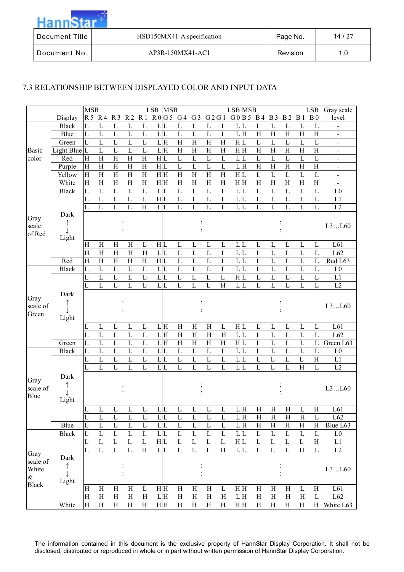| Document Title | HSD150MX41-A specification | Page No. | 14/27 |
|----------------|----------------------------|----------|-------|
| Document No.   | AP3R-150MX41-AC1           | Revision | 1.0   |

#### 7.3 RELATIONSHIP BETWEEN DISPLAYED COLOR AND INPUT DATA

|                           |                    | <b>MSB</b>            |                           |                         |                         |                | LSB            | <b>MSB</b> |                  |                         |                           |                           | <b>LSB</b> MSB |   |                           |                |                |                    | <b>LSB</b>              | Gray scale                   |
|---------------------------|--------------------|-----------------------|---------------------------|-------------------------|-------------------------|----------------|----------------|------------|------------------|-------------------------|---------------------------|---------------------------|----------------|---|---------------------------|----------------|----------------|--------------------|-------------------------|------------------------------|
|                           | Display            |                       | R5 R4 R3                  |                         |                         |                |                |            | R2 R1 R0G5 G4 G3 |                         | G 2 G 1                   |                           |                |   | G0 B5B4B3                 |                |                | <b>B2 B1</b>       | B <sub>0</sub>          | level                        |
|                           | <b>Black</b>       | L                     | L                         | L                       | $\mathbf L$             | L              | L              | L          | L                | L                       | L                         | L                         | L              | L | L                         | L              | $\Gamma$       | L                  | L                       | $\overline{\phantom{0}}$     |
|                           | Blue               | L                     | $\overline{L}$            | L                       | $\mathbf L$             | L              | L L            |            | $\mathbf L$      | $\mathbf L$             | L                         | $\mathbf L$               | LH             |   | $\overline{H}$            | $\overline{H}$ | H              | $\mathbf H$        | $\mathbf H$             | $\qquad \qquad \blacksquare$ |
|                           | Green              | L                     | $\mathbf L$               | $\mathbf{L}$            | $\mathbf L$             | L              | LH             |            | $\mathbf H$      | H                       | $\mathbf H$               | $\rm H$                   | H L            |   | $\mathbf L$               | $\mathbf L$    | L              | L                  | L                       | $\qquad \qquad \blacksquare$ |
| Basic                     | Light Blue $ L $   |                       | L                         | L                       | L                       | L              | LH             |            | H                | H                       | H                         | H                         | H H            |   | $\overline{H}$            | H              | H              | $\mathbf H$        | $\overline{\mathrm{H}}$ | $\qquad \qquad \blacksquare$ |
| color                     | Red                | H                     | H                         | H                       | H                       | $\,$ H         | H L            |            | $\overline{L}$   | $\mathbf L$             | L                         | $\mathbf L$               | L              | L | $\mathbf L$               | $\mathbf L$    | L              | L                  | L                       | $\qquad \qquad \blacksquare$ |
|                           | Purple             | H                     | H                         | H                       | H                       | $\,$ H         | H L            |            | $\mathbf L$      | $\mathbf L$             | L                         | $\overline{L}$            | LH             |   | $\overline{\rm H}$        | H              | H              | $\boldsymbol{H}$   | $\overline{\mathrm{H}}$ | $\qquad \qquad \blacksquare$ |
|                           | Yellow             | H                     | H                         | H                       | $\mathbf H$             | $\,$ H         | H H            |            | $\mathbf H$      | H                       | H                         | H                         | H L            |   | $\mathbf L$               | $\mathbf L$    | L              | L                  | L                       | $\qquad \qquad \blacksquare$ |
|                           | White              | H                     | H                         | H                       | H                       | $\rm H$        | H H            |            | H                | H                       | $\mathbf H$               | H                         | H H            |   | $\rm H$                   | H              | $\mathbf H$    | $\mathbf H$        | H                       | $\qquad \qquad \blacksquare$ |
|                           | <b>Black</b>       | L                     | L                         | L                       | L                       | $\mathbf L$    | L L            |            | $\mathbf L$      | L                       | L                         | $\mathbf L$               | L L            |   | $\mathbf L$               | L              | L              | L                  | L                       | L <sub>0</sub>               |
|                           |                    | L                     | L                         | L                       | L                       | L              | H L            |            | $\mathbf L$      | L                       | L                         | $\mathbf L$               | L              | L | $\mathbf L$               | $\mathbf{L}$   | L              | L                  | L                       | L1                           |
|                           |                    |                       | L                         | L                       | L                       | $\,$ H         | L L            |            | L                | $\mathbf L$             | L                         | L                         | L              | L | L                         | L              | L              | L                  | L                       | L2                           |
| Gray<br>scale<br>of Red   | Dark<br>Light      |                       |                           |                         |                         |                |                |            |                  |                         |                           |                           |                |   |                           |                |                |                    |                         | L3L60                        |
|                           |                    | H                     | H                         | $\mathbf H$             | H                       | L              | H L            |            | $\mathbf L$      | L                       | L                         | $\mathbf L$               | L L            |   | $\mathbf L$               | L              | L              | L                  | L                       | L61                          |
|                           |                    | H                     | H                         | $\overline{\mathrm{H}}$ | H                       | H              | L L            |            | L                | $\mathbf L$             | $\mathbf{L}$              | $\mathbf{L}$              | L L            |   | L                         | $\mathbf{L}$   | $\mathbf{L}$   | L                  | $\mathbf{L}$            | L62                          |
|                           | Red                | $\overline{H}$        | H                         | $\overline{H}$          | $\overline{\mathrm{H}}$ | $\rm H$        | H L            |            | L                | L                       | L                         | $\mathbf{L}$              | $L_{L}$        |   | L                         | $\mathbf{L}$   | L              | L                  | $\mathbf{L}$            | Red L63                      |
|                           | <b>Black</b>       | L                     | $\mathbf{L}$              | $\mathbf L$             | $\mathbf L$             | $\mathbf L$    | L L            |            | L                | $\mathbf L$             | $\mathbf{L}$              | $\mathbf L$               | L L            |   | L                         | $\mathbf{L}$   | $\Gamma$       | $\mathbf L$        | $\mathbf{L}$            | L <sub>0</sub>               |
|                           |                    | L                     | $\mathbf{L}$              | $\mathbf{L}$            | $\mathbf{L}$            | $\mathbf{L}$   | L L            |            | L                | L                       | L                         | $\mathbf L$               | H L            |   | L                         | $\mathbf{L}$   | L              | L                  | $\mathbf{I}$            | L1                           |
|                           |                    | L                     | L                         | L                       | L                       | L              | L L            |            | L                | L                       | L                         | H                         | L L            |   | L                         | L              | L              | $\mathbf{L}$       | $\mathbf{L}$            | L2                           |
| Gray<br>scale of<br>Green | Dark<br>Light      |                       |                           |                         |                         |                |                |            |                  |                         |                           |                           |                |   |                           |                |                |                    |                         | L3L60                        |
|                           |                    | L                     | $\mathbf L$               | $\mathbf{L}$            | $\mathbf L$             | $\mathbf{L}$   | L H            |            | $\overline{H}$   | $\overline{H}$          | H                         | $\mathbf{L}$              | H L            |   | $\mathbf L$               | $\mathbf{L}$   | $\mathbf L$    | $\mathbf L$        | $\mathbf{I}$            | L61                          |
|                           |                    | L                     | $\mathbf{L}$              | $\overline{L}$          | $\overline{L}$          | $\overline{L}$ | LH             |            | $\overline{H}$   | $\overline{H}$          | $\overline{H}$            | $\overline{H}$            | L L            |   | $\overline{L}$            | $\overline{L}$ | $\overline{L}$ | $\overline{L}$     | $\overline{I}$          | L62                          |
|                           | Green              | L                     | $\mathbf L$               | $\mathbf L$             | $\mathbf L$             | $\overline{L}$ | LH             |            | H                | $\overline{\mathrm{H}}$ | $\overline{\mathrm{H}}$   | $\boldsymbol{H}$          | H L            |   | $\overline{L}$            | $\overline{L}$ | $\mathbf L$    | $\mathbf L$        | $\overline{I}$          | Green L63                    |
|                           | <b>Black</b>       | L                     | $\overline{L}$            | $\overline{L}$          | $\overline{L}$          | $\overline{L}$ | L L            |            | $\overline{L}$   | $\overline{L}$          | $\overline{L}$            | $\overline{L}$            | L L            |   | $\overline{L}$            | $\overline{L}$ | $\overline{L}$ | $\overline{L}$     | $\overline{I}$          | L <sub>0</sub>               |
|                           |                    | L                     | $\mathbf L$               | $\mathbf L$             | $\mathbf L$             | $\mathbf L$    | $L_{L}$        |            | $\overline{L}$   | $\overline{L}$          | $\mathbf L$               | $\overline{L}$            | $\overline{L}$ |   | $\overline{L}$            | $\overline{L}$ | L              | L                  | $\overline{\mathrm{H}}$ | L1                           |
|                           |                    | L                     | $\overline{L}$            | L                       | L                       | $\overline{L}$ | $\overline{L}$ |            | $\overline{L}$   | $\overline{L}$          | L                         | $\overline{L}$            | $\overline{L}$ |   | $\overline{\text{L}}$     | $\overline{L}$ | L              | $\overline{H}$     | $\overline{L}$          | L2                           |
| Gray<br>scale of<br>Blue  | Dark<br>Light      |                       |                           |                         |                         |                |                |            |                  |                         |                           |                           |                |   |                           |                |                |                    |                         | L3L60                        |
|                           |                    | $\overline{\text{L}}$ | $\overline{L}$            | $\mathbf L$             | $\mathbf L$             | L              | L L            |            | $\mathbf L$      | $\mathbf L$             | $\mathbf{L}$              | $\mathbf L$               | L H            |   | $\overline{H}$            | $\mathbf H$    | $\mathbf H$    | $\mathbf L$        | H                       | L61                          |
|                           |                    | L                     | $\mathbf{L}$              | $\mathbf{L}$            | L                       | L              | L L            |            | L                | $\mathbf L$             | L                         | $\mathbf{L}$              | LH             |   | H                         | $\mathbf H$    | $\mathbf H$    | H                  | $\mathbf{L}$            | L62                          |
|                           | Blue               | L                     | $\mathbf L$               | $\mathbf{L}$            | $\mathbf L$             | $\mathbf{L}$   | L L            |            | L                | $\mathbf L$             | $\mathbf{L}$              | $\mathbf L$               | LH             |   | $\boldsymbol{\mathrm{H}}$ | H              | $\rm H$        | H                  | $\overline{H}$          | Blue L63                     |
|                           | <b>Black</b>       | L                     | $\mathbf{L}$              | $\mathbf{L}$            | $\mathbf L$             | $\overline{L}$ | L L            |            | $\overline{L}$   | $\mathbf L$             | L                         | $\overline{L}$            | L L            |   | $\overline{L}$            | $\overline{L}$ | $\mathbf L$    | L                  | $\Gamma$                | L <sub>0</sub>               |
|                           |                    | L                     | $\mathbf{L}$              | $\mathbf L$             | L                       | L              | H L            |            | $\mathbf{L}$     | L                       | L                         | $\mathbf L$               | H L            |   | L                         | L              | $\mathbf L$    | L                  | $\mathbf H$             | L1                           |
| Gray                      |                    | L                     | $\overline{L}$            | $\overline{L}$          | $\overline{L}$          | $\overline{H}$ | L L            |            | $\overline{L}$   | $\overline{\text{L}}$   | $\overline{L}$            | $\overline{H}$            | L L            |   | $\overline{\mathbf{L}}$   | $\overline{L}$ | $\overline{L}$ | $\overline{\rm H}$ | L                       | L2                           |
| scale of<br>White<br>$\&$ | Dark<br>↑<br>Light |                       |                           |                         |                         |                |                |            |                  |                         |                           |                           |                |   |                           |                |                |                    |                         | L3L60                        |
| <b>Black</b>              |                    | Η                     | H                         | H                       | H                       | L              | H H            |            | H                | H                       | $\mathbf H$               | L                         | H H            |   | $\mathbf H$               | $\mathbf H$    | H              | L                  | H                       | L61                          |
|                           |                    | H                     | $\, {\rm H}$              | H                       | $\rm H$                 | $\, {\rm H}$   | L H            |            | $\rm H$          | $\rm H$                 | $\boldsymbol{\mathrm{H}}$ | $\boldsymbol{\mathrm{H}}$ | LH             |   | $\boldsymbol{\mathrm{H}}$ | $\rm H$        | H              | $\, {\rm H}$       | L                       | L62                          |
|                           | White              | H                     | $\boldsymbol{\mathrm{H}}$ | $\rm H$                 | $\rm H$                 | $\rm H$        | H H            |            | $\rm H$          | $\rm H$                 | $\rm H$                   | $\rm H$                   | H H            |   | $\, {\rm H}$              | $\rm H$        | $\rm H$        | $\rm H$            | H                       | White L63                    |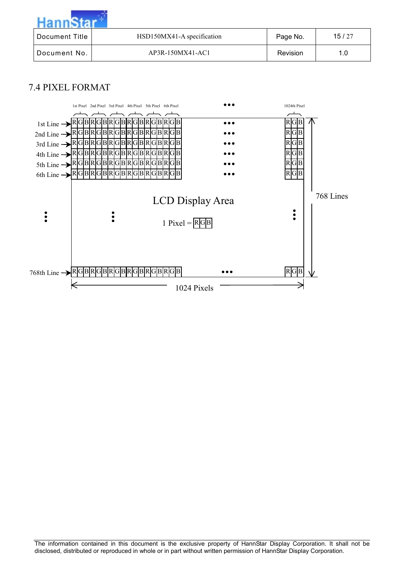| Document Title | HSD150MX41-A specification | Page No. | 15/27 |
|----------------|----------------------------|----------|-------|
| Document No.   | AP3R-150MX41-AC1           | Revision | 1.0   |

# 7.4 PIXEL FORMAT

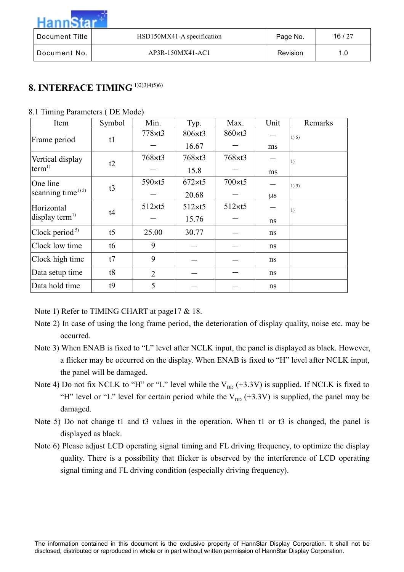| Hanns          |                            |          |       |
|----------------|----------------------------|----------|-------|
| Document Title | HSD150MX41-A specification | Page No. | 16/27 |
| Document No.   | AP3R-150MX41-AC1           | Revision | 1.0   |

# **8. INTERFACE TIMING** 1)2)3)4)5)6)

|  |  | 8.1 Timing Parameters (DE Mode) |  |  |  |  |
|--|--|---------------------------------|--|--|--|--|
|--|--|---------------------------------|--|--|--|--|

| Item                           | Symbol         | Min.           | Typ.            | Max.           | Unit    | Remarks |
|--------------------------------|----------------|----------------|-----------------|----------------|---------|---------|
| Frame period                   | t1             | $778\times t3$ | $806 \times t3$ | 860×t3         |         | 1) 5)   |
|                                |                |                | 16.67           |                | ms      |         |
| Vertical display               | t2             | $768\times t3$ | $768\times t3$  | $768\times t3$ |         | 1)      |
| term <sup>1</sup>              |                |                | 15.8            |                | ms      |         |
| One line                       | t3             | 590×t5         | $672 \times t5$ | $700\times t5$ |         | 1) 5)   |
| scanning time <sup>1) 5)</sup> |                |                | 20.68           |                | $\mu$ s |         |
| Horizontal                     | t4             | $512\times t5$ | $512\times t5$  | $512\times t5$ |         | 1)      |
| display term <sup>1)</sup>     |                |                | 15.76           |                | ns      |         |
| Clock period $5$               | t <sub>5</sub> | 25.00          | 30.77           |                | ns      |         |
| Clock low time                 | t6             | 9              |                 |                | ns      |         |
| Clock high time                | t7             | 9              |                 |                | ns      |         |
| Data setup time                | t8             | $\overline{2}$ |                 |                | ns      |         |
| Data hold time                 | t9             | 5              |                 |                | ns      |         |

Note 1) Refer to TIMING CHART at page 17 & 18.

- Note 2) In case of using the long frame period, the deterioration of display quality, noise etc. may be occurred.
- Note 3) When ENAB is fixed to "L" level after NCLK input, the panel is displayed as black. However, a flicker may be occurred on the display. When ENAB is fixed to "H" level after NCLK input, the panel will be damaged.
- Note 4) Do not fix NCLK to "H" or "L" level while the  $V_{DD}$  (+3.3V) is supplied. If NCLK is fixed to "H" level or "L" level for certain period while the  $V_{\text{DD}}$  (+3.3V) is supplied, the panel may be damaged.
- Note 5) Do not change t1 and t3 values in the operation. When t1 or t3 is changed, the panel is displayed as black.
- Note 6) Please adjust LCD operating signal timing and FL driving frequency, to optimize the display quality. There is a possibility that flicker is observed by the interference of LCD operating signal timing and FL driving condition (especially driving frequency).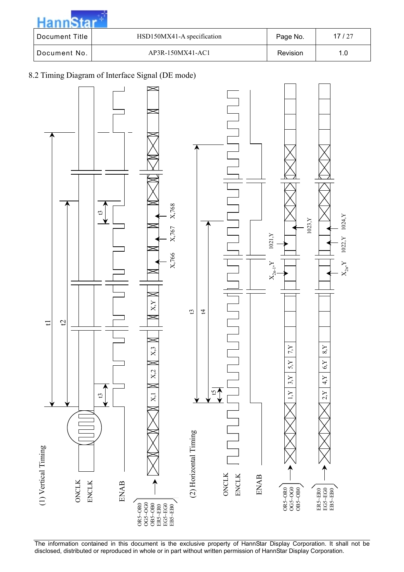| Document Title | HSD150MX41-A specification | Page No. | 17/27 |
|----------------|----------------------------|----------|-------|
| Document No.   | AP3R-150MX41-AC1           | Revision | 1.0   |

#### 8.2 Timing Diagram of Interface Signal (DE mode)



The information contained in this document is the exclusive property of HannStar Display Corporation. It shall not be disclosed, distributed or reproduced in whole or in part without written permission of HannStar Display Corporation.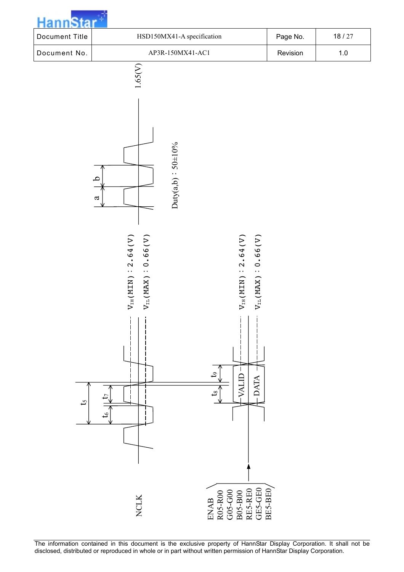

The information contained in this document is the exclusive property of HannStar Display Corporation. It shall not be disclosed, distributed or reproduced in whole or in part without written permission of HannStar Display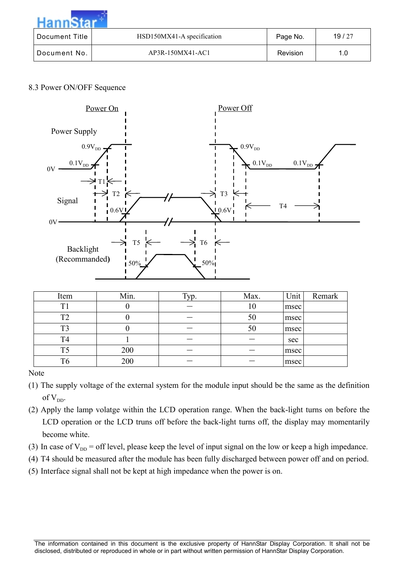| Hann           |                            |          |       |
|----------------|----------------------------|----------|-------|
| Document Title | HSD150MX41-A specification | Page No. | 19/27 |
| Document No.   | AP3R-150MX41-AC1           | Revision | 1.0   |

#### 8.3 Power ON/OFF Sequence



| Item           | Min. | Typ. | Max. | Unit | Remark |
|----------------|------|------|------|------|--------|
| Τ1             |      |      | 10   | msec |        |
| ⊥ு             |      |      | 50   | msec |        |
|                |      |      | 50   | msec |        |
| T <sub>4</sub> |      |      |      | sec  |        |
| T5             | 200  |      |      | msec |        |
|                | 200  |      |      | msec |        |

#### Note

- (1) The supply voltage of the external system for the module input should be the same as the definition of  $V_{DD}$ .
- (2) Apply the lamp volatge within the LCD operation range. When the back-light turns on before the LCD operation or the LCD truns off before the back-light turns off, the display may momentarily become white.
- (3) In case of  $V_{DD}$  = off level, please keep the level of input signal on the low or keep a high impedance.
- (4) T4 should be measured after the module has been fully discharged between power off and on period.
- (5) Interface signal shall not be kept at high impedance when the power is on.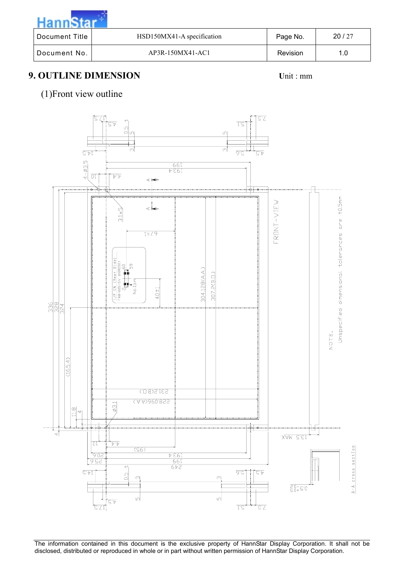**Hann**Star Document Title | HSD150MX41-A specification | Page No. | 20/27 Document No. | AP3R-150MX41-AC1 Revision | 1.0

# **9. OUTLINE DIMENSION** Unit : mm

### (1)Front view outline



The information contained in this document is the exclusive property of HannStar Display Corporation. It shall not be disclosed, distributed or reproduced in whole or in part without written permission of HannStar Display Corporation.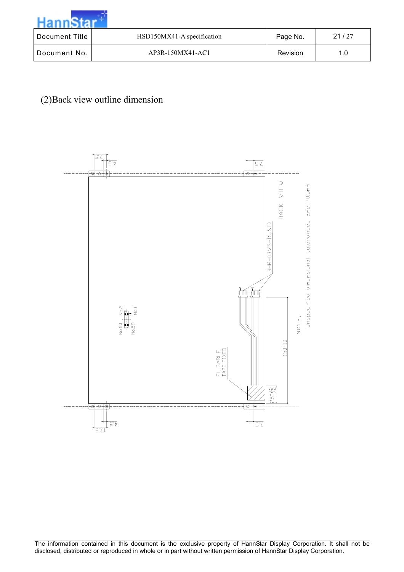| Document Title | HSD150MX41-A specification | Page No. | 21/27 |
|----------------|----------------------------|----------|-------|
| Document No.   | AP3R-150MX41-AC1           | Revision | 1.0   |

(2)Back view outline dimension

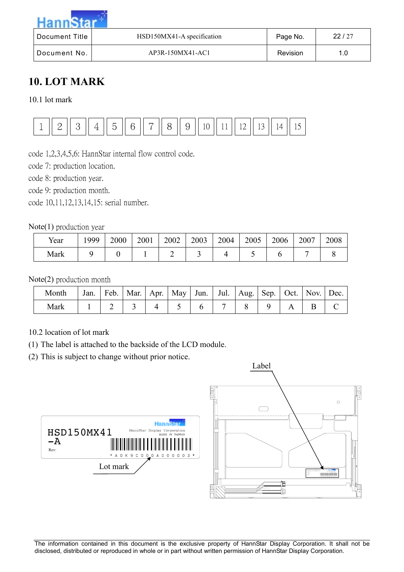| $H$ ann $\sim$        |                            |          |       |
|-----------------------|----------------------------|----------|-------|
| <b>Document Title</b> | HSD150MX41-A specification | Page No. | 22/27 |
| Document No.          | AP3R-150MX41-AC1           | Revision | 1.0   |

# **10. LOT MARK**

10.1 lot mark



code 1,2,3,4,5,6: HannStar internal flow control code.

code 7: production location.

code 8: production year.

code 9: production month.

code 10,11,12,13,14,15: serial number.

#### Note(1) production year

| Year | 999 | 2000 | 2001 | 2002 | 2003 | 2004 | 2005 | 2006 | 2007 | 2008 |
|------|-----|------|------|------|------|------|------|------|------|------|
| Mark |     |      |      | -    |      |      |      |      |      |      |

#### Note(2) production month

| Month | Jan. | Feb.   Mar.   Apr.   May   Jun.   Jul.   Aug.   Sep.   Oct.   Nov.   Dec. |  |  |  |  |  |
|-------|------|---------------------------------------------------------------------------|--|--|--|--|--|
| Mark  |      |                                                                           |  |  |  |  |  |

#### 10.2 location of lot mark

(1) The label is attached to the backside of the LCD module.

(2) This is subject to change without prior notice.



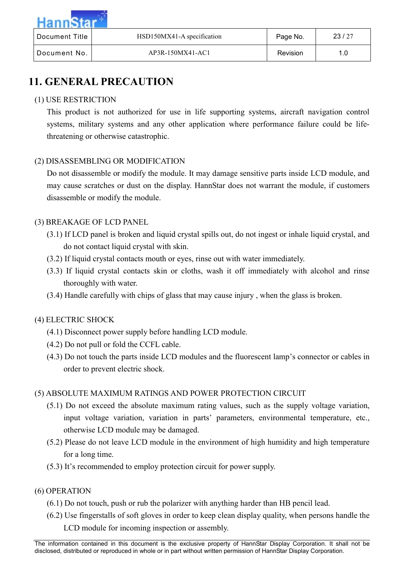| Document Title | HSD150MX41-A specification | Page No. | 23/27 |
|----------------|----------------------------|----------|-------|
| Document No.   | AP3R-150MX41-AC1           | Revision | 1.0   |

# **11. GENERAL PRECAUTION**

#### (1) USE RESTRICTION

This product is not authorized for use in life supporting systems, aircraft navigation control systems, military systems and any other application where performance failure could be lifethreatening or otherwise catastrophic.

#### (2) DISASSEMBLING OR MODIFICATION

Do not disassemble or modify the module. It may damage sensitive parts inside LCD module, and may cause scratches or dust on the display. HannStar does not warrant the module, if customers disassemble or modify the module.

#### (3) BREAKAGE OF LCD PANEL

- (3.1) If LCD panel is broken and liquid crystal spills out, do not ingest or inhale liquid crystal, and do not contact liquid crystal with skin.
- (3.2) If liquid crystal contacts mouth or eyes, rinse out with water immediately.
- (3.3) If liquid crystal contacts skin or cloths, wash it off immediately with alcohol and rinse thoroughly with water.
- (3.4) Handle carefully with chips of glass that may cause injury , when the glass is broken.

#### (4) ELECTRIC SHOCK

- (4.1) Disconnect power supply before handling LCD module.
- (4.2) Do not pull or fold the CCFL cable.
- (4.3) Do not touch the parts inside LCD modules and the fluorescent lamp's connector or cables in order to prevent electric shock.

#### (5) ABSOLUTE MAXIMUM RATINGS AND POWER PROTECTION CIRCUIT

- (5.1) Do not exceed the absolute maximum rating values, such as the supply voltage variation, input voltage variation, variation in parts' parameters, environmental temperature, etc., otherwise LCD module may be damaged.
- (5.2) Please do not leave LCD module in the environment of high humidity and high temperature for a long time.
- (5.3) It's recommended to employ protection circuit for power supply.

#### (6) OPERATION

- (6.1) Do not touch, push or rub the polarizer with anything harder than HB pencil lead.
- (6.2) Use fingerstalls of soft gloves in order to keep clean display quality, when persons handle the LCD module for incoming inspection or assembly.

The information contained in this document is the exclusive property of HannStar Display Corporation. It shall not be disclosed, distributed or reproduced in whole or in part without written permission of HannStar Display Corporation.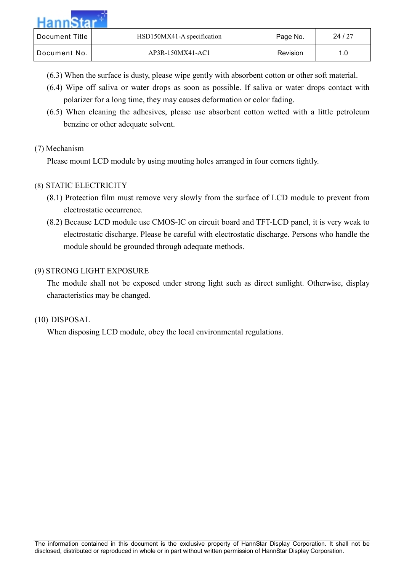| Hanne          |                            |          |       |
|----------------|----------------------------|----------|-------|
| Document Title | HSD150MX41-A specification | Page No. | 24/27 |
| Document No.   | AP3R-150MX41-AC1           | Revision | 1.0   |

- (6.3) When the surface is dusty, please wipe gently with absorbent cotton or other soft material.
- (6.4) Wipe off saliva or water drops as soon as possible. If saliva or water drops contact with polarizer for a long time, they may causes deformation or color fading.
- (6.5) When cleaning the adhesives, please use absorbent cotton wetted with a little petroleum benzine or other adequate solvent.

#### (7) Mechanism

Please mount LCD module by using mouting holes arranged in four corners tightly.

#### (8) STATIC ELECTRICITY

- (8.1) Protection film must remove very slowly from the surface of LCD module to prevent from electrostatic occurrence.
- (8.2) Because LCD module use CMOS-IC on circuit board and TFT-LCD panel, it is very weak to electrostatic discharge. Please be careful with electrostatic discharge. Persons who handle the module should be grounded through adequate methods.

#### (9) STRONG LIGHT EXPOSURE

The module shall not be exposed under strong light such as direct sunlight. Otherwise, display characteristics may be changed.

#### (10) DISPOSAL

When disposing LCD module, obey the local environmental regulations.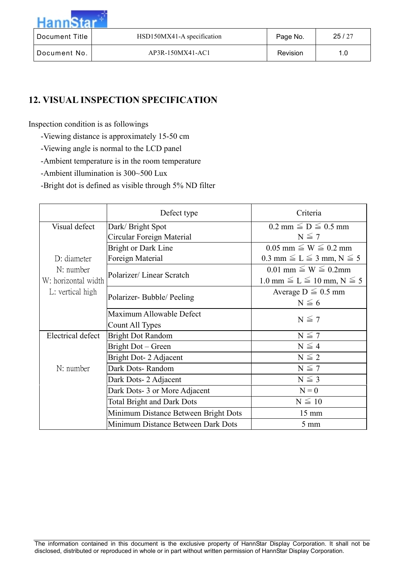| $H$ ann $\sim$ |                            |          |       |
|----------------|----------------------------|----------|-------|
| Document Title | HSD150MX41-A specification | Page No. | 25/27 |
| Document No.   | AP3R-150MX41-AC1           | Revision | 1.0   |

# **12. VISUAL INSPECTION SPECIFICATION**

Inspection condition is as followings

- -Viewing distance is approximately 15-50 cm
- -Viewing angle is normal to the LCD panel
- -Ambient temperature is in the room temperature
- -Ambient illumination is 300~500 Lux
- -Bright dot is defined as visible through 5% ND filter

|                          | Defect type                          | Criteria                               |
|--------------------------|--------------------------------------|----------------------------------------|
| Visual defect            | Dark/Bright Spot                     | $0.2$ mm $\leq D \leq 0.5$ mm          |
|                          | Circular Foreign Material            | $N \leq 7$                             |
|                          | <b>Bright or Dark Line</b>           | $0.05$ mm $\leq W \leq 0.2$ mm         |
| D: diameter              | Foreign Material                     | 0.3 mm $\leq L \leq 3$ mm, N $\leq 5$  |
| N: number                | Polarizer/Linear Scratch             | $0.01$ mm $\leq W \leq 0.2$ mm         |
| W: horizontal width      |                                      | 1.0 mm $\leq L \leq 10$ mm, N $\leq 5$ |
| L: vertical high         |                                      | Average $D \leq 0.5$ mm                |
|                          | Polarizer-Bubble/Peeling             | $N \leq 6$                             |
|                          | Maximum Allowable Defect             |                                        |
|                          | Count All Types                      | $N \leq 7$                             |
| <b>Electrical defect</b> | <b>Bright Dot Random</b>             | $N \leq 7$                             |
|                          | Bright Dot – Green                   | $N \leq 4$                             |
|                          | Bright Dot- 2 Adjacent               | $N \leq 2$                             |
| N: number                | Dark Dots-Random                     | $N \leq 7$                             |
|                          | Dark Dots- 2 Adjacent                | $N \leq 3$                             |
|                          | Dark Dots-3 or More Adjacent         | $N = 0$                                |
|                          | <b>Total Bright and Dark Dots</b>    | $N \leq 10$                            |
|                          | Minimum Distance Between Bright Dots | $15 \text{ mm}$                        |
|                          | Minimum Distance Between Dark Dots   | $5 \text{ mm}$                         |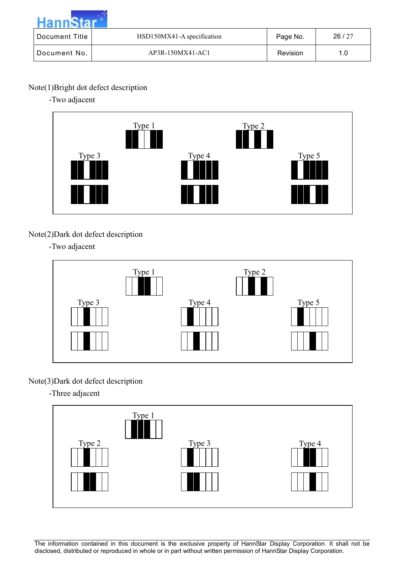| Hanne          |                            |          |       |
|----------------|----------------------------|----------|-------|
| Document Title | HSD150MX41-A specification | Page No. | 26/27 |
| Document No.   | AP3R-150MX41-AC1           | Revision | 1.0   |

### Note(1)Bright dot defect description

-Two adjacent



# Note(2)Dark dot defect description

-Two adjacent



# Note(3)Dark dot defect description

-Three adjacent